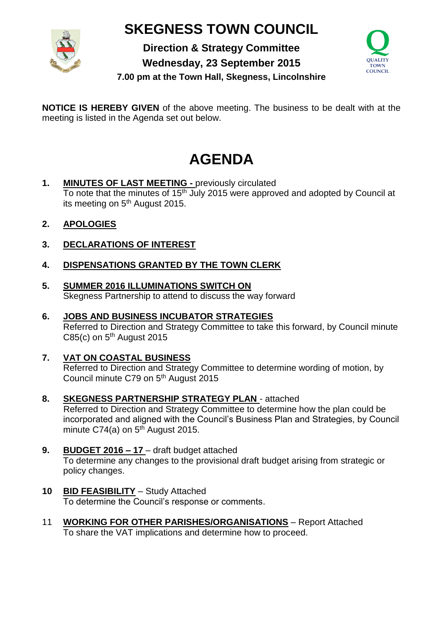## **SKEGNESS TOWN COUNCIL**



**Direction & Strategy Committee Wednesday, 23 September 2015**



**7.00 pm at the Town Hall, Skegness, Lincolnshire**

**NOTICE IS HEREBY GIVEN** of the above meeting. The business to be dealt with at the meeting is listed in the Agenda set out below.

## **AGENDA**

- **1. MINUTES OF LAST MEETING -** previously circulated To note that the minutes of 15<sup>th</sup> July 2015 were approved and adopted by Council at its meeting on 5<sup>th</sup> August 2015.
- **2. APOLOGIES**
- **3. DECLARATIONS OF INTEREST**
- **4. DISPENSATIONS GRANTED BY THE TOWN CLERK**
- **5. SUMMER 2016 ILLUMINATIONS SWITCH ON**  Skegness Partnership to attend to discuss the way forward
- **6. JOBS AND BUSINESS INCUBATOR STRATEGIES** Referred to Direction and Strategy Committee to take this forward, by Council minute C85(c) on  $5<sup>th</sup>$  August 2015
- **7. VAT ON COASTAL BUSINESS** Referred to Direction and Strategy Committee to determine wording of motion, by Council minute C79 on 5<sup>th</sup> August 2015
- **8. SKEGNESS PARTNERSHIP STRATEGY PLAN** attached Referred to Direction and Strategy Committee to determine how the plan could be incorporated and aligned with the Council's Business Plan and Strategies, by Council minute C74(a) on  $5<sup>th</sup>$  August 2015.
- **9. BUDGET 2016 – 17**  draft budget attached To determine any changes to the provisional draft budget arising from strategic or policy changes.
- **10 BID FEASIBILITY** Study Attached To determine the Council's response or comments.
- 11 **WORKING FOR OTHER PARISHES/ORGANISATIONS** Report Attached To share the VAT implications and determine how to proceed.